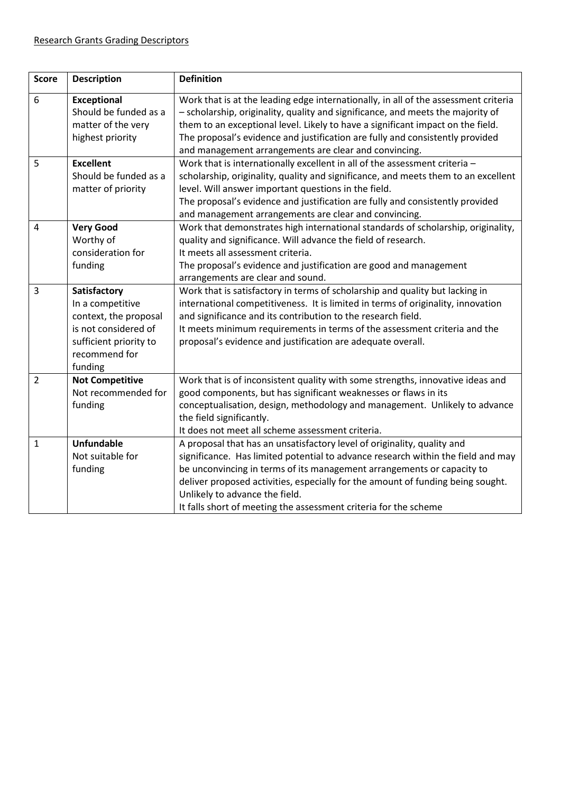| <b>Score</b>   | <b>Description</b>                                                                                                                      | <b>Definition</b>                                                                                                                                                                                                                                                                                                                                                                                                              |
|----------------|-----------------------------------------------------------------------------------------------------------------------------------------|--------------------------------------------------------------------------------------------------------------------------------------------------------------------------------------------------------------------------------------------------------------------------------------------------------------------------------------------------------------------------------------------------------------------------------|
| 6              | <b>Exceptional</b><br>Should be funded as a<br>matter of the very<br>highest priority                                                   | Work that is at the leading edge internationally, in all of the assessment criteria<br>- scholarship, originality, quality and significance, and meets the majority of<br>them to an exceptional level. Likely to have a significant impact on the field.<br>The proposal's evidence and justification are fully and consistently provided<br>and management arrangements are clear and convincing.                            |
| 5              | <b>Excellent</b><br>Should be funded as a<br>matter of priority                                                                         | Work that is internationally excellent in all of the assessment criteria -<br>scholarship, originality, quality and significance, and meets them to an excellent<br>level. Will answer important questions in the field.<br>The proposal's evidence and justification are fully and consistently provided<br>and management arrangements are clear and convincing.                                                             |
| 4              | <b>Very Good</b><br>Worthy of<br>consideration for<br>funding                                                                           | Work that demonstrates high international standards of scholarship, originality,<br>quality and significance. Will advance the field of research.<br>It meets all assessment criteria.<br>The proposal's evidence and justification are good and management<br>arrangements are clear and sound.                                                                                                                               |
| 3              | Satisfactory<br>In a competitive<br>context, the proposal<br>is not considered of<br>sufficient priority to<br>recommend for<br>funding | Work that is satisfactory in terms of scholarship and quality but lacking in<br>international competitiveness. It is limited in terms of originality, innovation<br>and significance and its contribution to the research field.<br>It meets minimum requirements in terms of the assessment criteria and the<br>proposal's evidence and justification are adequate overall.                                                   |
| $\overline{2}$ | <b>Not Competitive</b><br>Not recommended for<br>funding                                                                                | Work that is of inconsistent quality with some strengths, innovative ideas and<br>good components, but has significant weaknesses or flaws in its<br>conceptualisation, design, methodology and management. Unlikely to advance<br>the field significantly.<br>It does not meet all scheme assessment criteria.                                                                                                                |
| $\mathbf{1}$   | <b>Unfundable</b><br>Not suitable for<br>funding                                                                                        | A proposal that has an unsatisfactory level of originality, quality and<br>significance. Has limited potential to advance research within the field and may<br>be unconvincing in terms of its management arrangements or capacity to<br>deliver proposed activities, especially for the amount of funding being sought.<br>Unlikely to advance the field.<br>It falls short of meeting the assessment criteria for the scheme |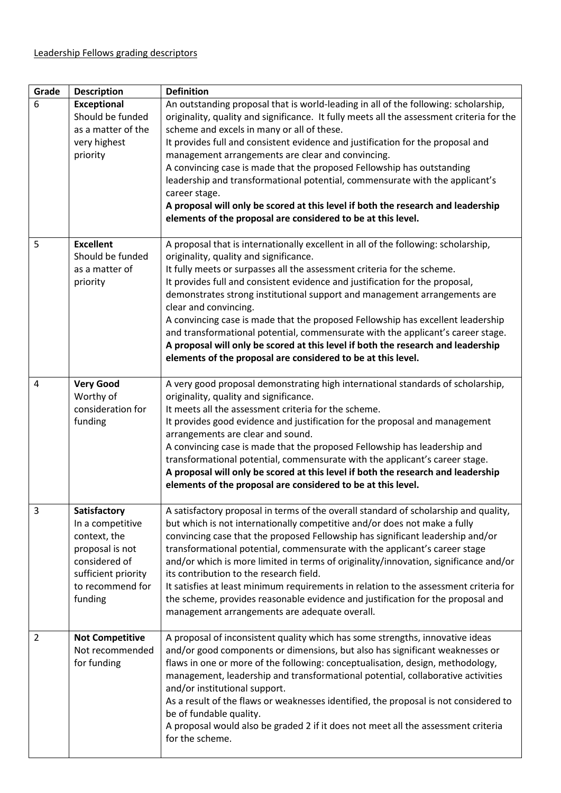| Grade          | <b>Description</b>                                                                                                                         | <b>Definition</b>                                                                                                                                                                                                                                                                                                                                                                                                                                                                                                                                                                                                                                                                                                       |
|----------------|--------------------------------------------------------------------------------------------------------------------------------------------|-------------------------------------------------------------------------------------------------------------------------------------------------------------------------------------------------------------------------------------------------------------------------------------------------------------------------------------------------------------------------------------------------------------------------------------------------------------------------------------------------------------------------------------------------------------------------------------------------------------------------------------------------------------------------------------------------------------------------|
| 6              | <b>Exceptional</b><br>Should be funded<br>as a matter of the<br>very highest<br>priority                                                   | An outstanding proposal that is world-leading in all of the following: scholarship,<br>originality, quality and significance. It fully meets all the assessment criteria for the<br>scheme and excels in many or all of these.<br>It provides full and consistent evidence and justification for the proposal and<br>management arrangements are clear and convincing.<br>A convincing case is made that the proposed Fellowship has outstanding<br>leadership and transformational potential, commensurate with the applicant's<br>career stage.<br>A proposal will only be scored at this level if both the research and leadership<br>elements of the proposal are considered to be at this level.                   |
| 5              | <b>Excellent</b><br>Should be funded<br>as a matter of<br>priority                                                                         | A proposal that is internationally excellent in all of the following: scholarship,<br>originality, quality and significance.<br>It fully meets or surpasses all the assessment criteria for the scheme.<br>It provides full and consistent evidence and justification for the proposal,<br>demonstrates strong institutional support and management arrangements are<br>clear and convincing.<br>A convincing case is made that the proposed Fellowship has excellent leadership<br>and transformational potential, commensurate with the applicant's career stage.<br>A proposal will only be scored at this level if both the research and leadership<br>elements of the proposal are considered to be at this level. |
| 4              | <b>Very Good</b><br>Worthy of<br>consideration for<br>funding                                                                              | A very good proposal demonstrating high international standards of scholarship,<br>originality, quality and significance.<br>It meets all the assessment criteria for the scheme.<br>It provides good evidence and justification for the proposal and management<br>arrangements are clear and sound.<br>A convincing case is made that the proposed Fellowship has leadership and<br>transformational potential, commensurate with the applicant's career stage.<br>A proposal will only be scored at this level if both the research and leadership<br>elements of the proposal are considered to be at this level.                                                                                                   |
| 3              | Satisfactory<br>In a competitive<br>context, the<br>proposal is not<br>considered of<br>sufficient priority<br>to recommend for<br>funding | A satisfactory proposal in terms of the overall standard of scholarship and quality,<br>but which is not internationally competitive and/or does not make a fully<br>convincing case that the proposed Fellowship has significant leadership and/or<br>transformational potential, commensurate with the applicant's career stage<br>and/or which is more limited in terms of originality/innovation, significance and/or<br>its contribution to the research field.<br>It satisfies at least minimum requirements in relation to the assessment criteria for<br>the scheme, provides reasonable evidence and justification for the proposal and<br>management arrangements are adequate overall.                       |
| $\overline{2}$ | <b>Not Competitive</b><br>Not recommended<br>for funding                                                                                   | A proposal of inconsistent quality which has some strengths, innovative ideas<br>and/or good components or dimensions, but also has significant weaknesses or<br>flaws in one or more of the following: conceptualisation, design, methodology,<br>management, leadership and transformational potential, collaborative activities<br>and/or institutional support.<br>As a result of the flaws or weaknesses identified, the proposal is not considered to<br>be of fundable quality.<br>A proposal would also be graded 2 if it does not meet all the assessment criteria<br>for the scheme.                                                                                                                          |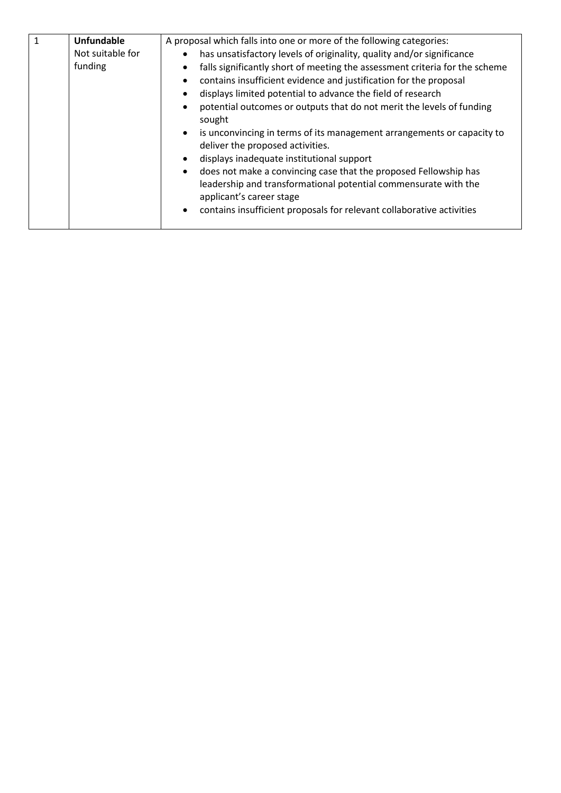| $\mathbf{1}$ | <b>Unfundable</b> | A proposal which falls into one or more of the following categories:                                                                                            |
|--------------|-------------------|-----------------------------------------------------------------------------------------------------------------------------------------------------------------|
|              | Not suitable for  | has unsatisfactory levels of originality, quality and/or significance<br>$\bullet$                                                                              |
|              | funding           | falls significantly short of meeting the assessment criteria for the scheme                                                                                     |
|              |                   | contains insufficient evidence and justification for the proposal                                                                                               |
|              |                   | displays limited potential to advance the field of research                                                                                                     |
|              |                   | potential outcomes or outputs that do not merit the levels of funding<br>sought                                                                                 |
|              |                   | is unconvincing in terms of its management arrangements or capacity to<br>$\bullet$<br>deliver the proposed activities.                                         |
|              |                   | displays inadequate institutional support                                                                                                                       |
|              |                   | does not make a convincing case that the proposed Fellowship has<br>leadership and transformational potential commensurate with the<br>applicant's career stage |
|              |                   | contains insufficient proposals for relevant collaborative activities<br>$\bullet$                                                                              |